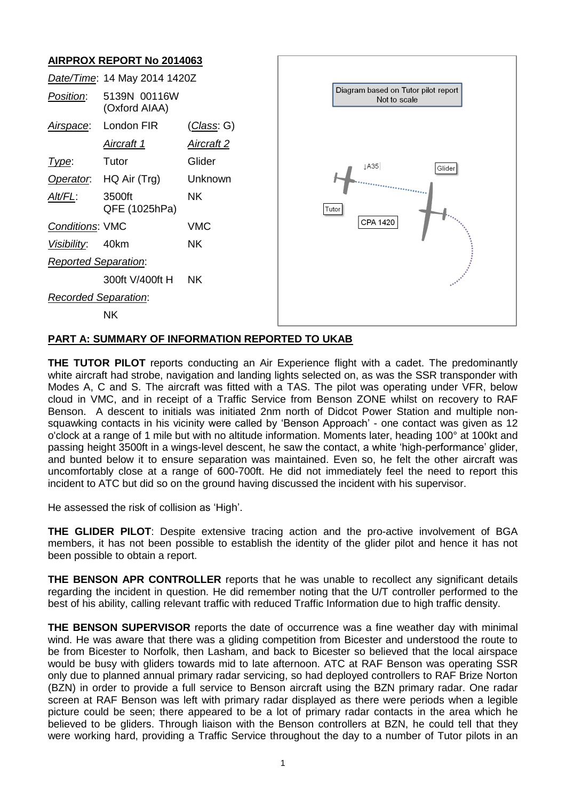# **AIRPROX REPORT No 2014063**

|                             | AINF NUA NEFUNT NU ZUT400J    |                   |                                                     |
|-----------------------------|-------------------------------|-------------------|-----------------------------------------------------|
|                             | Date/Time: 14 May 2014 1420Z  |                   |                                                     |
| Position:                   | 5139N 00116W<br>(Oxford AIAA) |                   | Diagram based on Tutor pilot report<br>Not to scale |
| Airspace:                   | London FIR                    | <u>(Class:</u> G) |                                                     |
|                             | <b>Aircraft 1</b>             | <u>Aircraft 2</u> |                                                     |
| Type:                       | Tutor                         | Glider            | $\downarrow$ A35<br>Glider<br>$ \textsf{Tutor} $    |
| Operator.                   | HQ Air (Trg)                  | <b>Unknown</b>    |                                                     |
| Alt/FL:                     | 3500ft<br>QFE (1025hPa)       | <b>NK</b>         |                                                     |
| Conditions: VMC             |                               | <b>VMC</b>        | <b>CPA 1420</b>                                     |
| Visibility:                 | 40km                          | <b>NK</b>         |                                                     |
| <b>Reported Separation:</b> |                               |                   |                                                     |
|                             | 300ft V/400ft H               | <b>NK</b>         |                                                     |
| Recorded Separation:        |                               |                   |                                                     |
|                             | <b>NK</b>                     |                   |                                                     |
|                             |                               |                   |                                                     |

# **PART A: SUMMARY OF INFORMATION REPORTED TO UKAB**

**THE TUTOR PILOT** reports conducting an Air Experience flight with a cadet. The predominantly white aircraft had strobe, navigation and landing lights selected on, as was the SSR transponder with Modes A, C and S. The aircraft was fitted with a TAS. The pilot was operating under VFR, below cloud in VMC, and in receipt of a Traffic Service from Benson ZONE whilst on recovery to RAF Benson. A descent to initials was initiated 2nm north of Didcot Power Station and multiple nonsquawking contacts in his vicinity were called by 'Benson Approach' - one contact was given as 12 o'clock at a range of 1 mile but with no altitude information. Moments later, heading 100° at 100kt and passing height 3500ft in a wings-level descent, he saw the contact, a white 'high-performance' glider, and bunted below it to ensure separation was maintained. Even so, he felt the other aircraft was uncomfortably close at a range of 600-700ft. He did not immediately feel the need to report this incident to ATC but did so on the ground having discussed the incident with his supervisor.

He assessed the risk of collision as 'High'.

**THE GLIDER PILOT**: Despite extensive tracing action and the pro-active involvement of BGA members, it has not been possible to establish the identity of the glider pilot and hence it has not been possible to obtain a report.

**THE BENSON APR CONTROLLER** reports that he was unable to recollect any significant details regarding the incident in question. He did remember noting that the U/T controller performed to the best of his ability, calling relevant traffic with reduced Traffic Information due to high traffic density.

**THE BENSON SUPERVISOR** reports the date of occurrence was a fine weather day with minimal wind. He was aware that there was a gliding competition from Bicester and understood the route to be from Bicester to Norfolk, then Lasham, and back to Bicester so believed that the local airspace would be busy with gliders towards mid to late afternoon. ATC at RAF Benson was operating SSR only due to planned annual primary radar servicing, so had deployed controllers to RAF Brize Norton (BZN) in order to provide a full service to Benson aircraft using the BZN primary radar. One radar screen at RAF Benson was left with primary radar displayed as there were periods when a legible picture could be seen; there appeared to be a lot of primary radar contacts in the area which he believed to be gliders. Through liaison with the Benson controllers at BZN, he could tell that they were working hard, providing a Traffic Service throughout the day to a number of Tutor pilots in an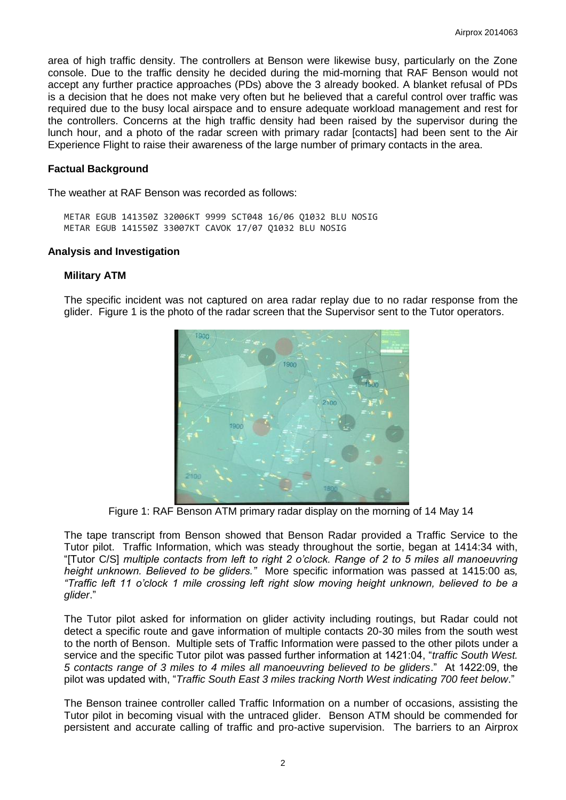area of high traffic density. The controllers at Benson were likewise busy, particularly on the Zone console. Due to the traffic density he decided during the mid-morning that RAF Benson would not accept any further practice approaches (PDs) above the 3 already booked. A blanket refusal of PDs is a decision that he does not make very often but he believed that a careful control over traffic was required due to the busy local airspace and to ensure adequate workload management and rest for the controllers. Concerns at the high traffic density had been raised by the supervisor during the lunch hour, and a photo of the radar screen with primary radar [contacts] had been sent to the Air Experience Flight to raise their awareness of the large number of primary contacts in the area.

# **Factual Background**

The weather at RAF Benson was recorded as follows:

METAR EGUB 141350Z 32006KT 9999 SCT048 16/06 Q1032 BLU NOSIG METAR EGUB 141550Z 33007KT CAVOK 17/07 Q1032 BLU NOSIG

#### **Analysis and Investigation**

#### **Military ATM**

The specific incident was not captured on area radar replay due to no radar response from the glider. Figure 1 is the photo of the radar screen that the Supervisor sent to the Tutor operators.



Figure 1: RAF Benson ATM primary radar display on the morning of 14 May 14

The tape transcript from Benson showed that Benson Radar provided a Traffic Service to the Tutor pilot. Traffic Information, which was steady throughout the sortie, began at 1414:34 with, "[Tutor C/S] *multiple contacts from left to right 2 o'clock. Range of 2 to 5 miles all manoeuvring height unknown. Believed to be gliders."* More specific information was passed at 1415:00 as*, "Traffic left 11 o'clock 1 mile crossing left right slow moving height unknown, believed to be a glider*."

The Tutor pilot asked for information on glider activity including routings, but Radar could not detect a specific route and gave information of multiple contacts 20-30 miles from the south west to the north of Benson. Multiple sets of Traffic Information were passed to the other pilots under a service and the specific Tutor pilot was passed further information at 1421:04, "*traffic South West. 5 contacts range of 3 miles to 4 miles all manoeuvring believed to be gliders*." At 1422:09, the pilot was updated with, "*Traffic South East 3 miles tracking North West indicating 700 feet below*."

The Benson trainee controller called Traffic Information on a number of occasions, assisting the Tutor pilot in becoming visual with the untraced glider. Benson ATM should be commended for persistent and accurate calling of traffic and pro-active supervision. The barriers to an Airprox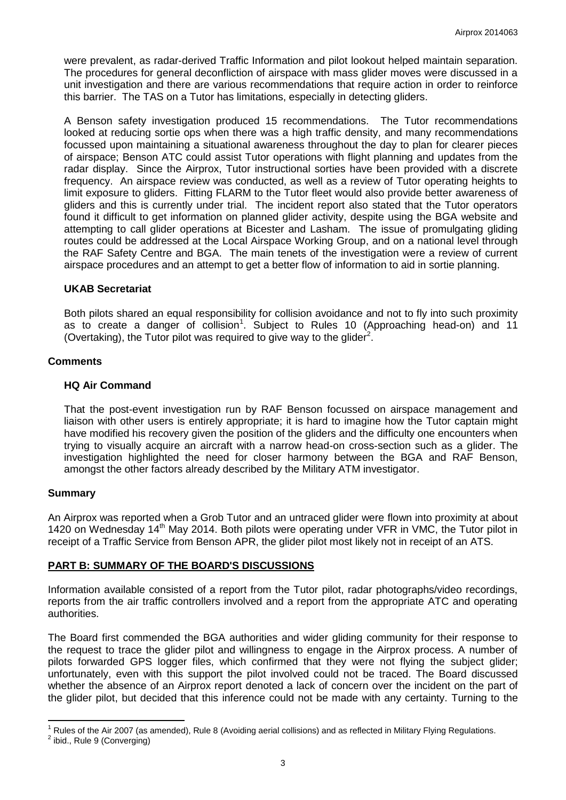were prevalent, as radar-derived Traffic Information and pilot lookout helped maintain separation. The procedures for general deconfliction of airspace with mass glider moves were discussed in a unit investigation and there are various recommendations that require action in order to reinforce this barrier. The TAS on a Tutor has limitations, especially in detecting gliders.

A Benson safety investigation produced 15 recommendations. The Tutor recommendations looked at reducing sortie ops when there was a high traffic density, and many recommendations focussed upon maintaining a situational awareness throughout the day to plan for clearer pieces of airspace; Benson ATC could assist Tutor operations with flight planning and updates from the radar display. Since the Airprox, Tutor instructional sorties have been provided with a discrete frequency. An airspace review was conducted, as well as a review of Tutor operating heights to limit exposure to gliders. Fitting FLARM to the Tutor fleet would also provide better awareness of gliders and this is currently under trial. The incident report also stated that the Tutor operators found it difficult to get information on planned glider activity, despite using the BGA website and attempting to call glider operations at Bicester and Lasham. The issue of promulgating gliding routes could be addressed at the Local Airspace Working Group, and on a national level through the RAF Safety Centre and BGA. The main tenets of the investigation were a review of current airspace procedures and an attempt to get a better flow of information to aid in sortie planning.

# **UKAB Secretariat**

Both pilots shared an equal responsibility for collision avoidance and not to fly into such proximity as to create a danger of collision<sup>1</sup>. Subject to Rules 10 (Approaching head-on) and 11 (Overtaking), the Tutor pilot was required to give way to the glider<sup>2</sup>.

# **Comments**

# **HQ Air Command**

That the post-event investigation run by RAF Benson focussed on airspace management and liaison with other users is entirely appropriate; it is hard to imagine how the Tutor captain might have modified his recovery given the position of the gliders and the difficulty one encounters when trying to visually acquire an aircraft with a narrow head-on cross-section such as a glider. The investigation highlighted the need for closer harmony between the BGA and RAF Benson, amongst the other factors already described by the Military ATM investigator.

#### **Summary**

 $\overline{\phantom{a}}$ 

An Airprox was reported when a Grob Tutor and an untraced glider were flown into proximity at about 1420 on Wednesday 14<sup>th</sup> May 2014. Both pilots were operating under VFR in VMC, the Tutor pilot in receipt of a Traffic Service from Benson APR, the glider pilot most likely not in receipt of an ATS.

#### **PART B: SUMMARY OF THE BOARD'S DISCUSSIONS**

Information available consisted of a report from the Tutor pilot, radar photographs/video recordings, reports from the air traffic controllers involved and a report from the appropriate ATC and operating authorities.

The Board first commended the BGA authorities and wider gliding community for their response to the request to trace the glider pilot and willingness to engage in the Airprox process. A number of pilots forwarded GPS logger files, which confirmed that they were not flying the subject glider; unfortunately, even with this support the pilot involved could not be traced. The Board discussed whether the absence of an Airprox report denoted a lack of concern over the incident on the part of the glider pilot, but decided that this inference could not be made with any certainty. Turning to the

<sup>1</sup> Rules of the Air 2007 (as amended), Rule 8 (Avoiding aerial collisions) and as reflected in Military Flying Regulations. <sup>2</sup> ibid., Rule 9 (Converging)